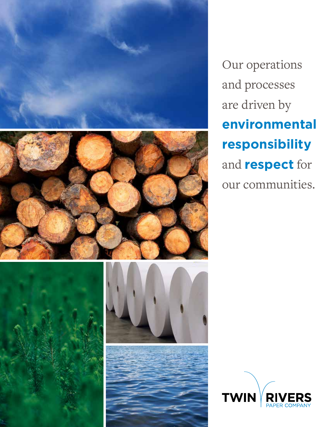







Our operations and processes are driven by **environmental responsibility** and **respect** for our communities.

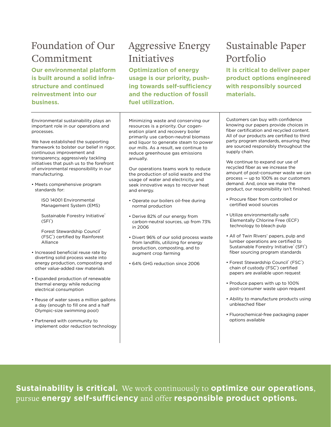## Foundation of Our Commitment

**Our environmental platform is built around a solid infrastructure and continued reinvestment into our business.**

# Aggressive Energy **Initiatives**

**Optimization of energy usage is our priority, pushing towards self-sufficiency and the reduction of fossil fuel utilization.**

## Sustainable Paper Portfolio

**It is critical to deliver paper product options engineered with responsibly sourced materials.**

Environmental sustainability plays an important role in our operations and processes.

We have established the supporting framework to bolster our belief in rigor, continuous improvement and transparency, aggressively tackling initiatives that push us to the forefront of environmental responsibility in our manufacturing.

• Meets comprehensive program standards for:

> ISO 14001 Environmental Management System (EMS)

Sustainable Forestry Initiative® (SFI® )

Forest Stewardship Council® (FSC® ) certifed by Rainforest Alliance

- Increased beneficial reuse rate by diverting solid process waste into energy production, composting and other value-added raw materials
- Expanded production of renewable thermal energy while reducing electrical consumption
- Reuse of water saves a million gallons a day (enough to fill one and a half Olympic-size swimming pool)
- Partnered with community to implement odor reduction technology

Minimizing waste and conserving our resources is a priority. Our cogeneration plant and recovery boiler primarily use carbon-neutral biomass and liquor to generate steam to power our mills. As a result, we continue to reduce greenhouse gas emissions annually.

Our operations teams work to reduce the production of solid waste and the usage of water and electricity, and seek innovative ways to recover heat and energy.

- Operate our boilers oil-free during normal production
- Derive 82% of our energy from carbon-neutral sources, up from 73% in 2006
- Divert 96% of our solid process waste from landfills, utilizing for energy production, composting, and to augment crop farming
- 64% GHG reduction since 2006

Customers can buy with confidence knowing our papers provide choices in fiber certification and recycled content. All of our products are certified to third party program standards, ensuring they are sourced responsibly throughout the supply chain.

We continue to expand our use of recycled fiber as we increase the amount of post-consumer waste we can process — up to 100% as our customers demand. And, once we make the product, our responsibility isn't finished.

- Procure fiber from controlled or certifed wood sources
- Utilize environmentally-safe Elementally Chlorine Free (ECF) technology to bleach pulp
- All of Twin Rivers' papers, pulp and lumber operations are certifed to Sustainable Forestry Initiative® (SFI®) fiber sourcing program standards
- Forest Stewardship Council® (FSC®) chain of custody (FSC®) certified papers are available upon request
- Produce papers with up to 100% post-consumer waste upon request
- Ability to manufacture products using unbleached fiber
- Fluorochemical-free packaging paper options available

**Sustainability is critical.** We work continuously to **optimize our operations**, pursue **energy self-sufficiency** and offer **responsible product options.**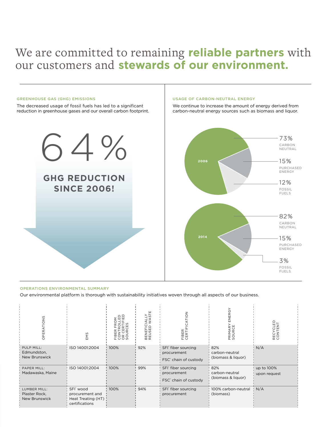# We are committed to remaining **reliable partners** with our customers and **stewards of our environment.**

#### GREENHOUSE GAS (GHG) EMISSIONS

The decreased usage of fossil fuels has led to a signifcant reduction in greenhouse gases and our overall carbon footprint.

#### USAGE OF CARBON-NEUTRAL ENERGY

We continue to increase the amount of energy derived from carbon-neutral energy sources such as biomass and liquor.



#### OPERATIONS ENVIRONMENTAL SUMMARY

Our environmental platform is thorough with sustainability initiatives woven through all aspects of our business.

| TIONS<br>√<br>R∕<br>증                          | EMS                                                                              | ш<br>Š<br>m<br>z<br><b>Eggs</b> | BENEFICIALLY<br>REUSED WAST | $\frac{z}{2}$<br>FIBER<br>CERTIFIO                                                  | ENERGY<br>PRIMARY<br>SOURCE                 | RECYCLED<br>CONTENT        |
|------------------------------------------------|----------------------------------------------------------------------------------|---------------------------------|-----------------------------|-------------------------------------------------------------------------------------|---------------------------------------------|----------------------------|
| PULP MILL:<br>Edmundston,<br>New Brunswick     | ISO 14001:2004                                                                   | 100%                            | 92%                         | SFI <sup>®</sup> fiber sourcing<br>procurement<br>FSC <sup>®</sup> chain of custody | 82%<br>carbon-neutral<br>(biomass & liquor) | N/A                        |
| PAPER MILL:<br>Madawaska, Maine                | ISO 14001:2004                                                                   | 100%                            | 99%                         | SFI <sup>®</sup> fiber sourcing<br>procurement<br>FSC <sup>®</sup> chain of custody | 82%<br>carbon-neutral<br>(biomass & liquor) | up to 100%<br>upon request |
| LUMBER MILL:<br>Plaster Rock,<br>New Brunswick | SFI <sup>*</sup> wood<br>procurement and<br>Heat Treating (HT)<br>certifications | 100%                            | 94%                         | SFI <sup>®</sup> fiber sourcing<br>procurement                                      | 100% carbon-neutral<br>(biomass)            | N/A                        |